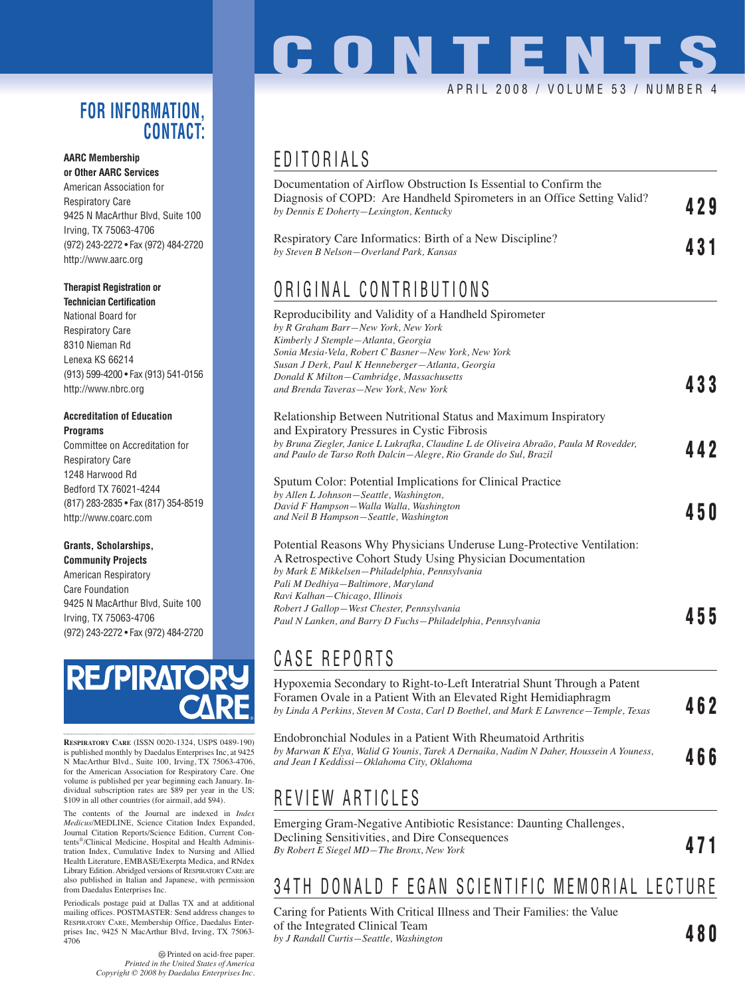#### **FOR INFORMATION, CONTACT:**

#### **AARC Membership or Other AARC Services**

American Association for Respiratory Care 9425 N MacArthur Blvd, Suite 100 Irving, TX 75063-4706 (972) 243-2272 • Fax (972) 484-2720 http://www.aarc.org

#### **Therapist Registration or**

**Technician Certification** National Board for Respiratory Care 8310 Nieman Rd Lenexa KS 66214 (913) 599-4200 • Fax (913) 541-0156 http://www.nbrc.org

#### **Accreditation of Education Programs**

Committee on Accreditation for Respiratory Care 1248 Harwood Rd Bedford TX 76021-4244 (817) 283-2835 • Fax (817) 354-8519 http://www.coarc.com

#### **Grants, Scholarships, Community Projects**

American Respiratory Care Foundation 9425 N MacArthur Blvd, Suite 100 Irving, TX 75063-4706 (972) 243-2272 • Fax (972) 484-2720



**RESPIRATORY CARE** (ISSN 0020-1324, USPS 0489-190) is published monthly by Daedalus Enterprises Inc, at 9425 N MacArthur Blvd., Suite 100, Irving, TX 75063-4706, for the American Association for Respiratory Care. One volume is published per year beginning each January. Individual subscription rates are \$89 per year in the US; \$109 in all other countries (for airmail, add \$94).

The contents of the Journal are indexed in *Index Medicus*/MEDLINE, Science Citation Index Expanded, Journal Citation Reports/Science Edition, Current Contents®/Clinical Medicine, Hospital and Health Administration Index, Cumulative Index to Nursing and Allied Health Literature, EMBASE/Exerpta Medica, and RNdex Library Edition. Abridged versions of RESPIRATORY CARE are also published in Italian and Japanese, with permission from Daedalus Enterprises Inc.

Periodicals postage paid at Dallas TX and at additional mailing offices. POSTMASTER: Send address changes to RESPIRATORY CARE, Membership Office, Daedalus Enterprises Inc, 9425 N MacArthur Blvd, Irving, TX 75063- 4706

> Printed on acid-free paper. *Printed in the United States of America Copyright © 2008 by Daedalus Enterprises Inc.*

## **CONTENTS** APRIL 2008 / VOLUME 53 / NUMBER 4

### EDITORIALS

| Documentation of Airflow Obstruction Is Essential to Confirm the<br>Diagnosis of COPD: Are Handheld Spirometers in an Office Setting Valid?<br>by Dennis E Doherty-Lexington, Kentucky                                                                                                                                                                                     | 429 |
|----------------------------------------------------------------------------------------------------------------------------------------------------------------------------------------------------------------------------------------------------------------------------------------------------------------------------------------------------------------------------|-----|
| Respiratory Care Informatics: Birth of a New Discipline?<br>by Steven B Nelson-Overland Park, Kansas                                                                                                                                                                                                                                                                       | 431 |
| ORIGINAL CONTRIBUTIONS                                                                                                                                                                                                                                                                                                                                                     |     |
| Reproducibility and Validity of a Handheld Spirometer<br>by R Graham Barr-New York, New York<br>Kimberly J Stemple-Atlanta, Georgia<br>Sonia Mesia-Vela, Robert C Basner-New York, New York<br>Susan J Derk, Paul K Henneberger-Atlanta, Georgia<br>Donald K Milton-Cambridge, Massachusetts<br>and Brenda Taveras-New York, New York                                      | 433 |
| Relationship Between Nutritional Status and Maximum Inspiratory<br>and Expiratory Pressures in Cystic Fibrosis<br>by Bruna Ziegler, Janice L Lukrafka, Claudine L de Oliveira Abraão, Paula M Rovedder,<br>and Paulo de Tarso Roth Dalcin-Alegre, Rio Grande do Sul, Brazil                                                                                                | 442 |
| Sputum Color: Potential Implications for Clinical Practice<br>by Allen L Johnson-Seattle, Washington,<br>David F Hampson-Walla Walla, Washington<br>and Neil B Hampson–Seattle, Washington                                                                                                                                                                                 | 450 |
| Potential Reasons Why Physicians Underuse Lung-Protective Ventilation:<br>A Retrospective Cohort Study Using Physician Documentation<br>by Mark E Mikkelsen-Philadelphia, Pennsylvania<br>Pali M Dedhiya-Baltimore, Maryland<br>Ravi Kalhan-Chicago, Illinois<br>Robert J Gallop-West Chester, Pennsylvania<br>Paul N Lanken, and Barry D Fuchs-Philadelphia, Pennsylvania | 455 |
| CASE REPORTS                                                                                                                                                                                                                                                                                                                                                               |     |
| Hypoxemia Secondary to Dight to Left Interatrial Shunt Through a Datent                                                                                                                                                                                                                                                                                                    |     |

### CASE REPORTS

| Hypoxemia Secondary to Right-to-Left Interatrial Shunt Through a Patent<br>Foramen Ovale in a Patient With an Elevated Right Hemidiaphragm<br>by Linda A Perkins, Steven M Costa, Carl D Boethel, and Mark E Lawrence-Temple, Texas | 462 |
|-------------------------------------------------------------------------------------------------------------------------------------------------------------------------------------------------------------------------------------|-----|
| Endobronchial Nodules in a Patient With Rheumatoid Arthritis<br>by Marwan K Elya, Walid G Younis, Tarek A Dernaika, Nadim N Daher, Houssein A Youness,                                                                              |     |
| and Jean I Keddissi-Oklahoma City, Oklahoma                                                                                                                                                                                         | 466 |

### REVIEW ARTICLES

Emerging Gram-Negative Antibiotic Resistance: Daunting Challenges, Declining Sensitivities, and Dire Consequences *By Robert E Siegel MD—The Bronx, New York* **471**

### 34TH DONALD F EGAN SCIENTIFIC MEMORIAL LECTURE

Caring for Patients With Critical Illness and Their Families: the Value of the Integrated Clinical Team *by J Randall Curtis—Seattle, Washington* **480**